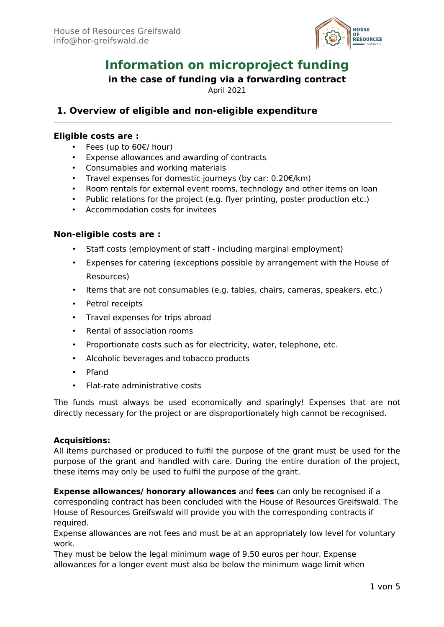

# **Information on microproject funding**

## **in the case of funding via a forwarding contract**

April 2021

# **1. Overview of eligible and non-eligible expenditure**

## **Eligible costs are :**

- Fees (up to 60€/ hour)
- Expense allowances and awarding of contracts
- Consumables and working materials
- Travel expenses for domestic journeys (by car: 0.20€/km)
- Room rentals for external event rooms, technology and other items on loan
- Public relations for the project (e.g. flyer printing, poster production etc.)
- Accommodation costs for invitees

## **Non-eligible costs are :**

- Staff costs (employment of staff including marginal employment)
- Expenses for catering (exceptions possible by arrangement with the House of Resources)
- Items that are not consumables (e.g. tables, chairs, cameras, speakers, etc.)
- Petrol receipts
- Travel expenses for trips abroad
- Rental of association rooms
- Proportionate costs such as for electricity, water, telephone, etc.
- Alcoholic beverages and tobacco products
- Pfand
- Flat-rate administrative costs

The funds must always be used economically and sparingly! Expenses that are not directly necessary for the project or are disproportionately high cannot be recognised.

## **Acquisitions:**

All items purchased or produced to fulfil the purpose of the grant must be used for the purpose of the grant and handled with care. During the entire duration of the project, these items may only be used to fulfil the purpose of the grant.

**Expense allowances/ honorary allowances** and **fees** can only be recognised if a corresponding contract has been concluded with the House of Resources Greifswald. The House of Resources Greifswald will provide you with the corresponding contracts if required.

Expense allowances are not fees and must be at an appropriately low level for voluntary work.

They must be below the legal minimum wage of 9.50 euros per hour. Expense allowances for a longer event must also be below the minimum wage limit when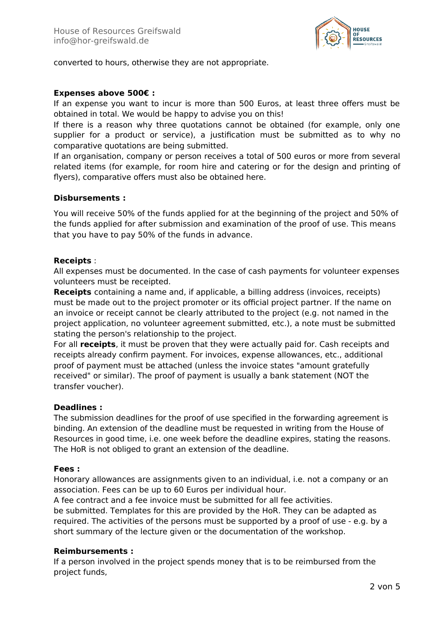

converted to hours, otherwise they are not appropriate.

## **Expenses above 500€ :**

If an expense you want to incur is more than 500 Euros, at least three offers must be obtained in total. We would be happy to advise you on this!

If there is a reason why three quotations cannot be obtained (for example, only one supplier for a product or service), a justification must be submitted as to why no comparative quotations are being submitted.

If an organisation, company or person receives a total of 500 euros or more from several related items (for example, for room hire and catering or for the design and printing of flyers), comparative offers must also be obtained here.

#### **Disbursements :**

You will receive 50% of the funds applied for at the beginning of the project and 50% of the funds applied for after submission and examination of the proof of use. This means that you have to pay 50% of the funds in advance.

## **Receipts** :

All expenses must be documented. In the case of cash payments for volunteer expenses volunteers must be receipted.

**Receipts** containing a name and, if applicable, a billing address (invoices, receipts) must be made out to the project promoter or its official project partner. If the name on an invoice or receipt cannot be clearly attributed to the project (e.g. not named in the project application, no volunteer agreement submitted, etc.), a note must be submitted stating the person's relationship to the project.

For all **receipts**, it must be proven that they were actually paid for. Cash receipts and receipts already confirm payment. For invoices, expense allowances, etc., additional proof of payment must be attached (unless the invoice states "amount gratefully received" or similar). The proof of payment is usually a bank statement (NOT the transfer voucher).

#### **Deadlines :**

The submission deadlines for the proof of use specified in the forwarding agreement is binding. An extension of the deadline must be requested in writing from the House of Resources in good time, i.e. one week before the deadline expires, stating the reasons. The HoR is not obliged to grant an extension of the deadline.

#### **Fees :**

Honorary allowances are assignments given to an individual, i.e. not a company or an association. Fees can be up to 60 Euros per individual hour.

A fee contract and a fee invoice must be submitted for all fee activities.

be submitted. Templates for this are provided by the HoR. They can be adapted as required. The activities of the persons must be supported by a proof of use - e.g. by a short summary of the lecture given or the documentation of the workshop.

#### **Reimbursements :**

If a person involved in the project spends money that is to be reimbursed from the project funds,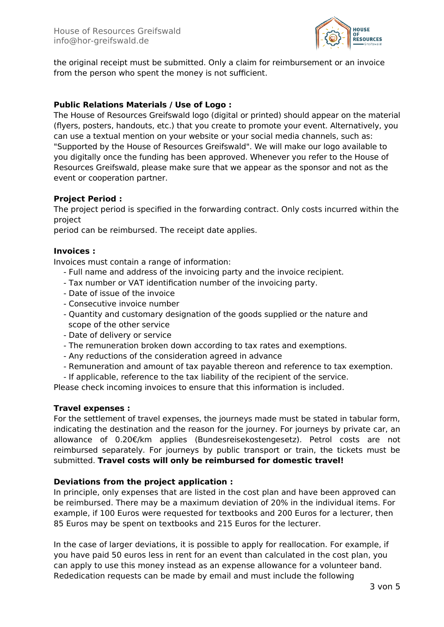

the original receipt must be submitted. Only a claim for reimbursement or an invoice from the person who spent the money is not sufficient.

## **Public Relations Materials / Use of Logo :**

The House of Resources Greifswald logo (digital or printed) should appear on the material (flyers, posters, handouts, etc.) that you create to promote your event. Alternatively, you can use a textual mention on your website or your social media channels, such as: "Supported by the House of Resources Greifswald". We will make our logo available to you digitally once the funding has been approved. Whenever you refer to the House of Resources Greifswald, please make sure that we appear as the sponsor and not as the event or cooperation partner.

## **Project Period :**

The project period is specified in the forwarding contract. Only costs incurred within the project

period can be reimbursed. The receipt date applies.

## **Invoices :**

Invoices must contain a range of information:

- Full name and address of the invoicing party and the invoice recipient.
- Tax number or VAT identification number of the invoicing party.
- Date of issue of the invoice
- Consecutive invoice number
- Quantity and customary designation of the goods supplied or the nature and scope of the other service
- Date of delivery or service
- The remuneration broken down according to tax rates and exemptions.
- Any reductions of the consideration agreed in advance
- Remuneration and amount of tax payable thereon and reference to tax exemption.
- If applicable, reference to the tax liability of the recipient of the service.

Please check incoming invoices to ensure that this information is included.

#### **Travel expenses :**

For the settlement of travel expenses, the journeys made must be stated in tabular form, indicating the destination and the reason for the journey. For journeys by private car, an allowance of 0.20€/km applies (Bundesreisekostengesetz). Petrol costs are not reimbursed separately. For journeys by public transport or train, the tickets must be submitted. **Travel costs will only be reimbursed for domestic travel!**

## **Deviations from the project application :**

In principle, only expenses that are listed in the cost plan and have been approved can be reimbursed. There may be a maximum deviation of 20% in the individual items. For example, if 100 Euros were requested for textbooks and 200 Euros for a lecturer, then 85 Euros may be spent on textbooks and 215 Euros for the lecturer.

In the case of larger deviations, it is possible to apply for reallocation. For example, if you have paid 50 euros less in rent for an event than calculated in the cost plan, you can apply to use this money instead as an expense allowance for a volunteer band. Rededication requests can be made by email and must include the following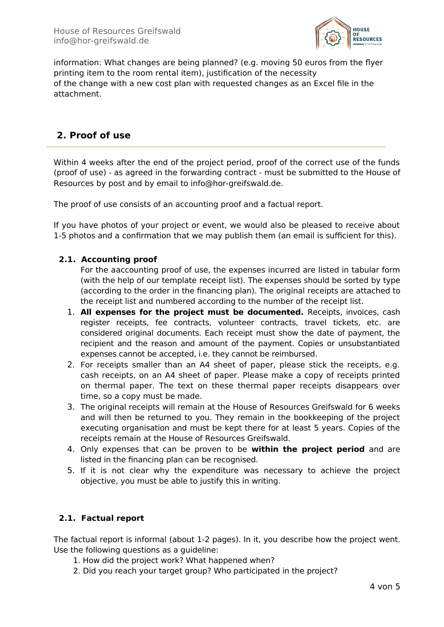

information: What changes are being planned? (e.g. moving 50 euros from the flyer printing item to the room rental item), justification of the necessity of the change with a new cost plan with requested changes as an Excel file in the attachment.

# **2. Proof of use**

Within 4 weeks after the end of the project period, proof of the correct use of the funds (proof of use) - as agreed in the forwarding contract - must be submitted to the House of Resources by post and by email to info@hor-greifswald.de.

The proof of use consists of an accounting proof and a factual report.

If you have photos of your project or event, we would also be pleased to receive about 1-5 photos and a confirmation that we may publish them (an email is sufficient for this).

## **2.1. Accounting proof**

For the aaccounting proof of use, the expenses incurred are listed in tabular form (with the help of our template receipt list). The expenses should be sorted by type (according to the order in the financing plan). The original receipts are attached to the receipt list and numbered according to the number of the receipt list.

- 1. **All expenses for the project must be documented.** Receipts, invoices, cash register receipts, fee contracts, volunteer contracts, travel tickets, etc. are considered original documents. Each receipt must show the date of payment, the recipient and the reason and amount of the payment. Copies or unsubstantiated expenses cannot be accepted, i.e. they cannot be reimbursed.
- 2. For receipts smaller than an A4 sheet of paper, please stick the receipts, e.g. cash receipts, on an A4 sheet of paper. Please make a copy of receipts printed on thermal paper. The text on these thermal paper receipts disappears over time, so a copy must be made.
- 3. The original receipts will remain at the House of Resources Greifswald for 6 weeks and will then be returned to you. They remain in the bookkeeping of the project executing organisation and must be kept there for at least 5 years. Copies of the receipts remain at the House of Resources Greifswald.
- 4. Only expenses that can be proven to be **within the project period** and are listed in the financing plan can be recognised.
- 5. If it is not clear why the expenditure was necessary to achieve the project objective, you must be able to justify this in writing.

## **2.1. Factual report**

The factual report is informal (about 1-2 pages). In it, you describe how the project went. Use the following questions as a guideline:

- 1. How did the project work? What happened when?
- 2. Did you reach your target group? Who participated in the project?